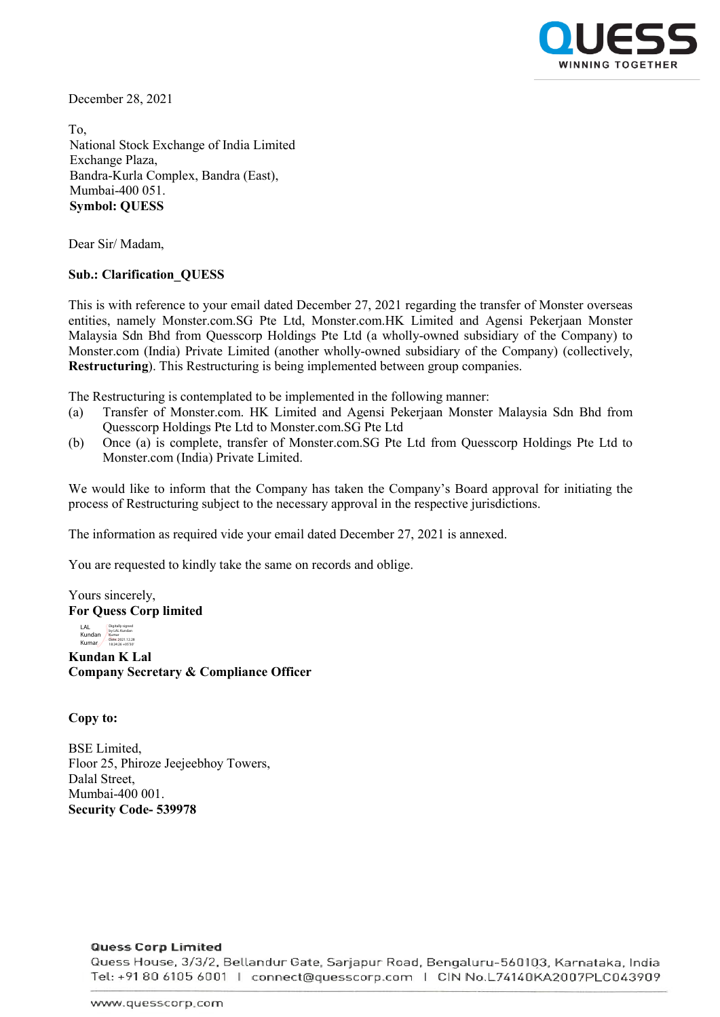

December 28, 2021

To, National Stock Exchange of India Limited Exchange Plaza, Bandra-Kurla Complex, Bandra (East), Mumbai-400 051. **Symbol: QUESS**

Dear Sir/ Madam,

## **Sub.: Clarification\_QUESS**

This is with reference to your email dated December 27, 2021 regarding the transfer of Monster overseas entities, namely Monster.com.SG Pte Ltd, Monster.com.HK Limited and Agensi Pekerjaan Monster Malaysia Sdn Bhd from Quesscorp Holdings Pte Ltd (a wholly-owned subsidiary of the Company) to Monster.com (India) Private Limited (another wholly-owned subsidiary of the Company) (collectively, **Restructuring**). This Restructuring is being implemented between group companies.

The Restructuring is contemplated to be implemented in the following manner:

- (a) Transfer of Monster.com. HK Limited and Agensi Pekerjaan Monster Malaysia Sdn Bhd from Quesscorp Holdings Pte Ltd to Monster.com.SG Pte Ltd
- (b) Once (a) is complete, transfer of Monster.com.SG Pte Ltd from Quesscorp Holdings Pte Ltd to Monster.com (India) Private Limited.

We would like to inform that the Company has taken the Company's Board approval for initiating the process of Restructuring subject to the necessary approval in the respective jurisdictions.

The information as required vide your email dated December 27, 2021 is annexed.

You are requested to kindly take the same on records and oblige.

Yours sincerely, **For Quess Corp limited**

LAL<br>Kundan<br>Kumar Digitally signed by LAL Kundan Kumar Date: 2021.12.28 18:24:26 +05'30'

**Kundan K Lal Company Secretary & Compliance Officer**

**Copy to:** 

BSE Limited, Floor 25, Phiroze Jeejeebhoy Towers, Dalal Street, Mumbai-400 001. **Security Code- 539978**

## **Quess Corp Limited**

Quess House, 3/3/2, Bellandur Gate, Sarjapur Road, Bengaluru-560103, Karnataka, India Tel: +91 80 6105 6001 | connect@quesscorp.com | CIN No.L74140KA2007PLC043909